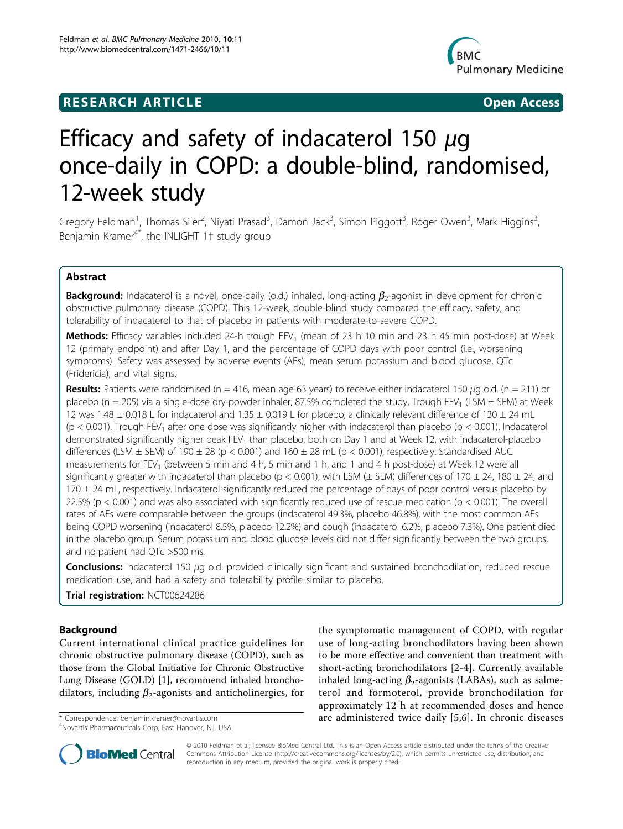# **RESEARCH ARTICLE Example 2018 CONSUMING ACCESS**



# Efficacy and safety of indacaterol 150  $\mu$ q once-daily in COPD: a double-blind, randomised, 12-week study

Gregory Feldman<sup>1</sup>, Thomas Siler<sup>2</sup>, Niyati Prasad<sup>3</sup>, Damon Jack<sup>3</sup>, Simon Piggott<sup>3</sup>, Roger Owen<sup>3</sup>, Mark Higgins<sup>3</sup> , Benjamin Kramer<sup>4\*</sup>, the INLIGHT 1<sup>+</sup> study group

# Abstract

**Background:** Indacaterol is a novel, once-daily (o.d.) inhaled, long-acting  $\beta_2$ -agonist in development for chronic obstructive pulmonary disease (COPD). This 12-week, double-blind study compared the efficacy, safety, and tolerability of indacaterol to that of placebo in patients with moderate-to-severe COPD.

Methods: Efficacy variables included 24-h trough FEV<sub>1</sub> (mean of 23 h 10 min and 23 h 45 min post-dose) at Week 12 (primary endpoint) and after Day 1, and the percentage of COPD days with poor control (i.e., worsening symptoms). Safety was assessed by adverse events (AEs), mean serum potassium and blood glucose, QTc (Fridericia), and vital signs.

**Results:** Patients were randomised (n = 416, mean age 63 years) to receive either indacaterol 150  $\mu$ g o.d. (n = 211) or placebo (n = 205) via a single-dose dry-powder inhaler; 87.5% completed the study. Trough FEV<sub>1</sub> (LSM  $\pm$  SEM) at Week 12 was 1.48  $\pm$  0.018 L for indacaterol and 1.35  $\pm$  0.019 L for placebo, a clinically relevant difference of 130  $\pm$  24 mL ( $p < 0.001$ ). Trough FEV<sub>1</sub> after one dose was significantly higher with indacaterol than placebo ( $p < 0.001$ ). Indacaterol demonstrated significantly higher peak FEV<sub>1</sub> than placebo, both on Day 1 and at Week 12, with indacaterol-placebo differences (LSM  $\pm$  SEM) of 190  $\pm$  28 (p < 0.001) and 160  $\pm$  28 mL (p < 0.001), respectively. Standardised AUC measurements for FEV<sub>1</sub> (between 5 min and 4 h, 5 min and 1 h, and 1 and 4 h post-dose) at Week 12 were all significantly greater with indacaterol than placebo (p < 0.001), with LSM ( $\pm$  SEM) differences of 170  $\pm$  24, 180  $\pm$  24, and 170 ± 24 mL, respectively. Indacaterol significantly reduced the percentage of days of poor control versus placebo by 22.5% ( $p < 0.001$ ) and was also associated with significantly reduced use of rescue medication ( $p < 0.001$ ). The overall rates of AEs were comparable between the groups (indacaterol 49.3%, placebo 46.8%), with the most common AEs being COPD worsening (indacaterol 8.5%, placebo 12.2%) and cough (indacaterol 6.2%, placebo 7.3%). One patient died in the placebo group. Serum potassium and blood glucose levels did not differ significantly between the two groups, and no patient had QTc >500 ms.

**Conclusions:** Indacaterol 150  $\mu$ g o.d. provided clinically significant and sustained bronchodilation, reduced rescue medication use, and had a safety and tolerability profile similar to placebo.

Trial registration: NCT00624286

# Background

Current international clinical practice guidelines for chronic obstructive pulmonary disease (COPD), such as those from the Global Initiative for Chronic Obstructive Lung Disease (GOLD) [[1](#page-7-0)], recommend inhaled bronchodilators, including  $\beta_2$ -agonists and anticholinergics, for

<sup>4</sup>Novartis Pharmaceuticals Corp, East Hanover, NJ, USA

the symptomatic management of COPD, with regular use of long-acting bronchodilators having been shown to be more effective and convenient than treatment with short-acting bronchodilators [\[2-4](#page-7-0)]. Currently available inhaled long-acting  $\beta_2$ -agonists (LABAs), such as salmeterol and formoterol, provide bronchodilation for approximately 12 h at recommended doses and hence \* Correspondence: [benjamin.kramer@novartis.com](mailto:benjamin.kramer@novartis.com) are administered twice daily [[5,6\]](#page-7-0). In chronic diseases <sup>4</sup>



© 2010 Feldman et al; licensee BioMed Central Ltd. This is an Open Access article distributed under the terms of the Creative Commons Attribution License [\(http://creativecommons.org/licenses/by/2.0](http://creativecommons.org/licenses/by/2.0)), which permits unrestricted use, distribution, and reproduction in any medium, provided the original work is properly cited.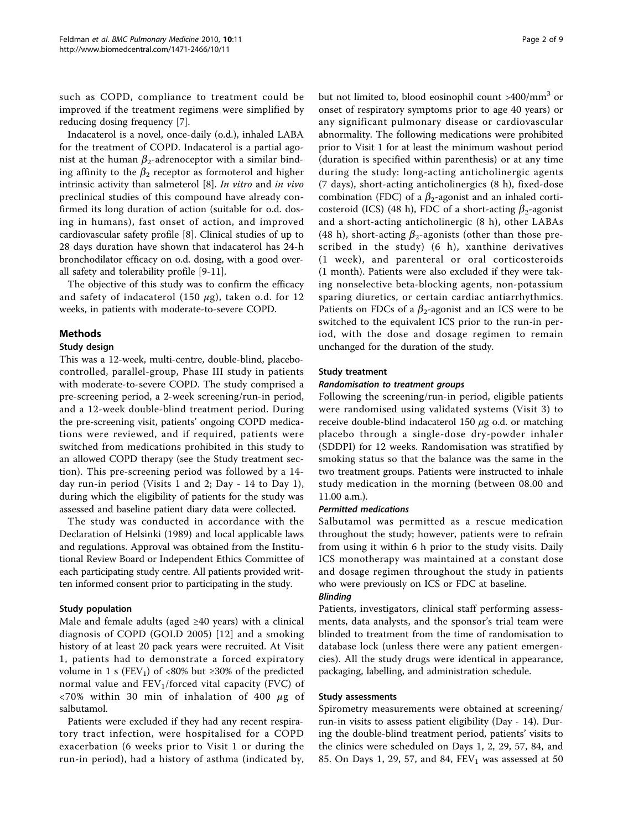such as COPD, compliance to treatment could be improved if the treatment regimens were simplified by reducing dosing frequency [[7](#page-8-0)].

Indacaterol is a novel, once-daily (o.d.), inhaled LABA for the treatment of COPD. Indacaterol is a partial agonist at the human  $\beta_2$ -adrenoceptor with a similar binding affinity to the  $\beta_2$  receptor as formoterol and higher intrinsic activity than salmeterol [[8\]](#page-8-0). In vitro and in vivo preclinical studies of this compound have already confirmed its long duration of action (suitable for o.d. dosing in humans), fast onset of action, and improved cardiovascular safety profile [[8\]](#page-8-0). Clinical studies of up to 28 days duration have shown that indacaterol has 24-h bronchodilator efficacy on o.d. dosing, with a good overall safety and tolerability profile [\[9-11](#page-8-0)].

The objective of this study was to confirm the efficacy and safety of indacaterol (150  $\mu$ g), taken o.d. for 12 weeks, in patients with moderate-to-severe COPD.

# Methods

## Study design

This was a 12-week, multi-centre, double-blind, placebocontrolled, parallel-group, Phase III study in patients with moderate-to-severe COPD. The study comprised a pre-screening period, a 2-week screening/run-in period, and a 12-week double-blind treatment period. During the pre-screening visit, patients' ongoing COPD medications were reviewed, and if required, patients were switched from medications prohibited in this study to an allowed COPD therapy (see the Study treatment section). This pre-screening period was followed by a 14 day run-in period (Visits 1 and 2; Day - 14 to Day 1), during which the eligibility of patients for the study was assessed and baseline patient diary data were collected.

The study was conducted in accordance with the Declaration of Helsinki (1989) and local applicable laws and regulations. Approval was obtained from the Institutional Review Board or Independent Ethics Committee of each participating study centre. All patients provided written informed consent prior to participating in the study.

# Study population

Male and female adults (aged  $\geq 40$  years) with a clinical diagnosis of COPD (GOLD 2005) [[12](#page-8-0)] and a smoking history of at least 20 pack years were recruited. At Visit 1, patients had to demonstrate a forced expiratory volume in 1 s (FEV<sub>1</sub>) of <80% but  $\geq$ 30% of the predicted normal value and  $FEV<sub>1</sub>/forced$  vital capacity (FVC) of  $\langle 70\%$  within 30 min of inhalation of 400  $\mu$ g of salbutamol.

Patients were excluded if they had any recent respiratory tract infection, were hospitalised for a COPD exacerbation (6 weeks prior to Visit 1 or during the run-in period), had a history of asthma (indicated by, but not limited to, blood eosinophil count >400/mm<sup>3</sup> or onset of respiratory symptoms prior to age 40 years) or any significant pulmonary disease or cardiovascular abnormality. The following medications were prohibited prior to Visit 1 for at least the minimum washout period (duration is specified within parenthesis) or at any time during the study: long-acting anticholinergic agents (7 days), short-acting anticholinergics (8 h), fixed-dose combination (FDC) of a  $\beta_2$ -agonist and an inhaled corticosteroid (ICS) (48 h), FDC of a short-acting  $\beta_2$ -agonist and a short-acting anticholinergic (8 h), other LABAs (48 h), short-acting  $\beta_2$ -agonists (other than those prescribed in the study) (6 h), xanthine derivatives (1 week), and parenteral or oral corticosteroids (1 month). Patients were also excluded if they were taking nonselective beta-blocking agents, non-potassium sparing diuretics, or certain cardiac antiarrhythmics. Patients on FDCs of a  $\beta_2$ -agonist and an ICS were to be switched to the equivalent ICS prior to the run-in period, with the dose and dosage regimen to remain unchanged for the duration of the study.

## Study treatment

## Randomisation to treatment groups

Following the screening/run-in period, eligible patients were randomised using validated systems (Visit 3) to receive double-blind indacaterol 150  $\mu$ g o.d. or matching placebo through a single-dose dry-powder inhaler (SDDPI) for 12 weeks. Randomisation was stratified by smoking status so that the balance was the same in the two treatment groups. Patients were instructed to inhale study medication in the morning (between 08.00 and 11.00 a.m.).

#### Permitted medications

Salbutamol was permitted as a rescue medication throughout the study; however, patients were to refrain from using it within 6 h prior to the study visits. Daily ICS monotherapy was maintained at a constant dose and dosage regimen throughout the study in patients who were previously on ICS or FDC at baseline.

#### Blinding

Patients, investigators, clinical staff performing assessments, data analysts, and the sponsor's trial team were blinded to treatment from the time of randomisation to database lock (unless there were any patient emergencies). All the study drugs were identical in appearance, packaging, labelling, and administration schedule.

#### Study assessments

Spirometry measurements were obtained at screening/ run-in visits to assess patient eligibility (Day - 14). During the double-blind treatment period, patients' visits to the clinics were scheduled on Days 1, 2, 29, 57, 84, and 85. On Days 1, 29, 57, and 84,  $FEV<sub>1</sub>$  was assessed at 50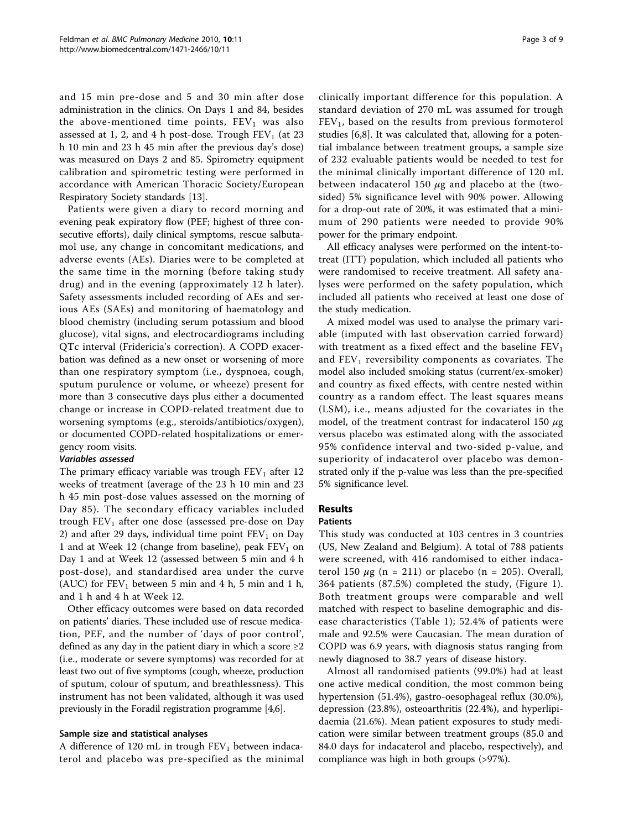and 15 min pre-dose and 5 and 30 min after dose administration in the clinics. On Days 1 and 84, besides the above-mentioned time points,  $FEV<sub>1</sub>$  was also assessed at 1, 2, and 4 h post-dose. Trough  $FEV<sub>1</sub>$  (at 23 h 10 min and 23 h 45 min after the previous day's dose) was measured on Days 2 and 85. Spirometry equipment calibration and spirometric testing were performed in accordance with American Thoracic Society/European Respiratory Society standards [[13](#page-8-0)].

Patients were given a diary to record morning and evening peak expiratory flow (PEF; highest of three consecutive efforts), daily clinical symptoms, rescue salbutamol use, any change in concomitant medications, and adverse events (AEs). Diaries were to be completed at the same time in the morning (before taking study drug) and in the evening (approximately 12 h later). Safety assessments included recording of AEs and serious AEs (SAEs) and monitoring of haematology and blood chemistry (including serum potassium and blood glucose), vital signs, and electrocardiograms including QTc interval (Fridericia's correction). A COPD exacerbation was defined as a new onset or worsening of more than one respiratory symptom (i.e., dyspnoea, cough, sputum purulence or volume, or wheeze) present for more than 3 consecutive days plus either a documented change or increase in COPD-related treatment due to worsening symptoms (e.g., steroids/antibiotics/oxygen), or documented COPD-related hospitalizations or emergency room visits.

# Variables assessed

The primary efficacy variable was trough  $FEV<sub>1</sub>$  after 12 weeks of treatment (average of the 23 h 10 min and 23 h 45 min post-dose values assessed on the morning of Day 85). The secondary efficacy variables included trough  $FEV<sub>1</sub>$  after one dose (assessed pre-dose on Day 2) and after 29 days, individual time point  $FEV<sub>1</sub>$  on Day 1 and at Week 12 (change from baseline), peak  $FEV<sub>1</sub>$  on Day 1 and at Week 12 (assessed between 5 min and 4 h post-dose), and standardised area under the curve (AUC) for  $FEV_1$  between 5 min and 4 h, 5 min and 1 h, and 1 h and 4 h at Week 12.

Other efficacy outcomes were based on data recorded on patients' diaries. These included use of rescue medication, PEF, and the number of 'days of poor control', defined as any day in the patient diary in which a score  $\geq 2$ (i.e., moderate or severe symptoms) was recorded for at least two out of five symptoms (cough, wheeze, production of sputum, colour of sputum, and breathlessness). This instrument has not been validated, although it was used previously in the Foradil registration programme [\[4,6\]](#page-7-0).

#### Sample size and statistical analyses

A difference of 120 mL in trough  $FEV<sub>1</sub>$  between indacaterol and placebo was pre-specified as the minimal clinically important difference for this population. A standard deviation of 270 mL was assumed for trough  $FEV<sub>1</sub>$ , based on the results from previous formoterol studies [\[6](#page-7-0)[,8](#page-8-0)]. It was calculated that, allowing for a potential imbalance between treatment groups, a sample size of 232 evaluable patients would be needed to test for the minimal clinically important difference of 120 mL between indacaterol 150  $\mu$ g and placebo at the (twosided) 5% significance level with 90% power. Allowing for a drop-out rate of 20%, it was estimated that a minimum of 290 patients were needed to provide 90% power for the primary endpoint.

All efficacy analyses were performed on the intent-totreat (ITT) population, which included all patients who were randomised to receive treatment. All safety analyses were performed on the safety population, which included all patients who received at least one dose of the study medication.

A mixed model was used to analyse the primary variable (imputed with last observation carried forward) with treatment as a fixed effect and the baseline  $FEV<sub>1</sub>$ and  $FEV<sub>1</sub>$  reversibility components as covariates. The model also included smoking status (current/ex-smoker) and country as fixed effects, with centre nested within country as a random effect. The least squares means (LSM), i.e., means adjusted for the covariates in the model, of the treatment contrast for indacaterol 150  $\mu$ g versus placebo was estimated along with the associated 95% confidence interval and two-sided p-value, and superiority of indacaterol over placebo was demonstrated only if the p-value was less than the pre-specified 5% significance level.

# Results

# Patients

This study was conducted at 103 centres in 3 countries (US, New Zealand and Belgium). A total of 788 patients were screened, with 416 randomised to either indacaterol 150  $\mu$ g (n = 211) or placebo (n = 205). Overall, 364 patients (87.5%) completed the study, (Figure [1\)](#page-3-0). Both treatment groups were comparable and well matched with respect to baseline demographic and disease characteristics (Table [1\)](#page-4-0); 52.4% of patients were male and 92.5% were Caucasian. The mean duration of COPD was 6.9 years, with diagnosis status ranging from newly diagnosed to 38.7 years of disease history.

Almost all randomised patients (99.0%) had at least one active medical condition, the most common being hypertension (51.4%), gastro-oesophageal reflux (30.0%), depression (23.8%), osteoarthritis (22.4%), and hyperlipidaemia (21.6%). Mean patient exposures to study medication were similar between treatment groups (85.0 and 84.0 days for indacaterol and placebo, respectively), and compliance was high in both groups (>97%).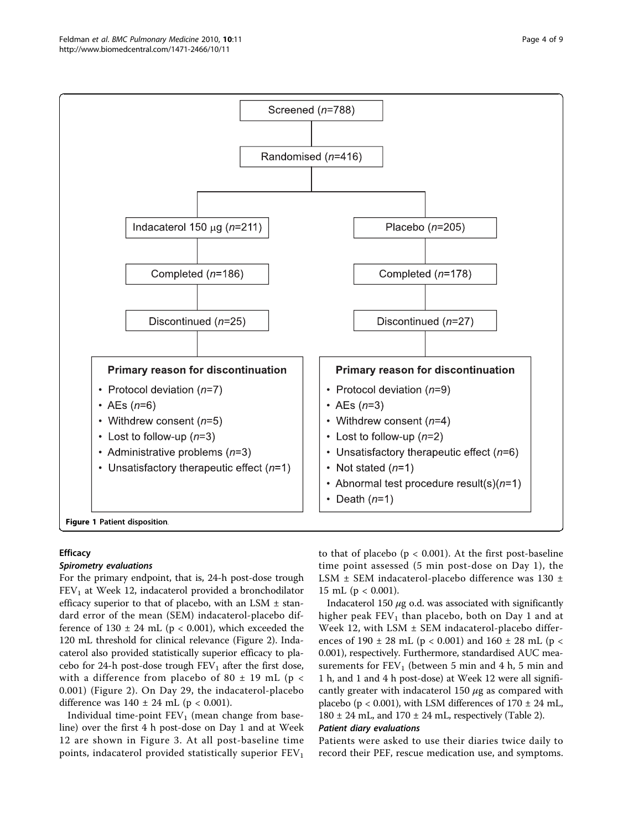<span id="page-3-0"></span>

# **Efficacy**

#### Spirometry evaluations

For the primary endpoint, that is, 24-h post-dose trough  $FEV<sub>1</sub>$  at Week 12, indacaterol provided a bronchodilator efficacy superior to that of placebo, with an LSM  $\pm$  standard error of the mean (SEM) indacaterol-placebo difference of  $130 \pm 24$  mL (p < 0.001), which exceeded the 120 mL threshold for clinical relevance (Figure [2\)](#page-4-0). Indacaterol also provided statistically superior efficacy to placebo for 24-h post-dose trough  $FEV_1$  after the first dose, with a difference from placebo of 80  $\pm$  19 mL (p < 0.001) (Figure [2](#page-4-0)). On Day 29, the indacaterol-placebo difference was  $140 \pm 24$  mL (p < 0.001).

Individual time-point  $FEV<sub>1</sub>$  (mean change from baseline) over the first 4 h post-dose on Day 1 and at Week 12 are shown in Figure [3.](#page-5-0) At all post-baseline time points, indacaterol provided statistically superior  $FEV<sub>1</sub>$ 

to that of placebo ( $p < 0.001$ ). At the first post-baseline time point assessed (5 min post-dose on Day 1), the LSM ± SEM indacaterol-placebo difference was 130 ± 15 mL ( $p < 0.001$ ).

Indacaterol 150  $\mu$ g o.d. was associated with significantly higher peak  $FEV<sub>1</sub>$  than placebo, both on Day 1 and at Week 12, with LSM  $\pm$  SEM indacaterol-placebo differences of 190  $\pm$  28 mL (p < 0.001) and 160  $\pm$  28 mL (p < 0.001), respectively. Furthermore, standardised AUC measurements for  $FEV_1$  (between 5 min and 4 h, 5 min and 1 h, and 1 and 4 h post-dose) at Week 12 were all significantly greater with indacaterol 150  $\mu$ g as compared with placebo ( $p < 0.001$ ), with LSM differences of 170  $\pm$  24 mL,  $180 \pm 24$  mL, and  $170 \pm 24$  mL, respectively (Table [2\)](#page-5-0).

#### Patient diary evaluations

Patients were asked to use their diaries twice daily to record their PEF, rescue medication use, and symptoms.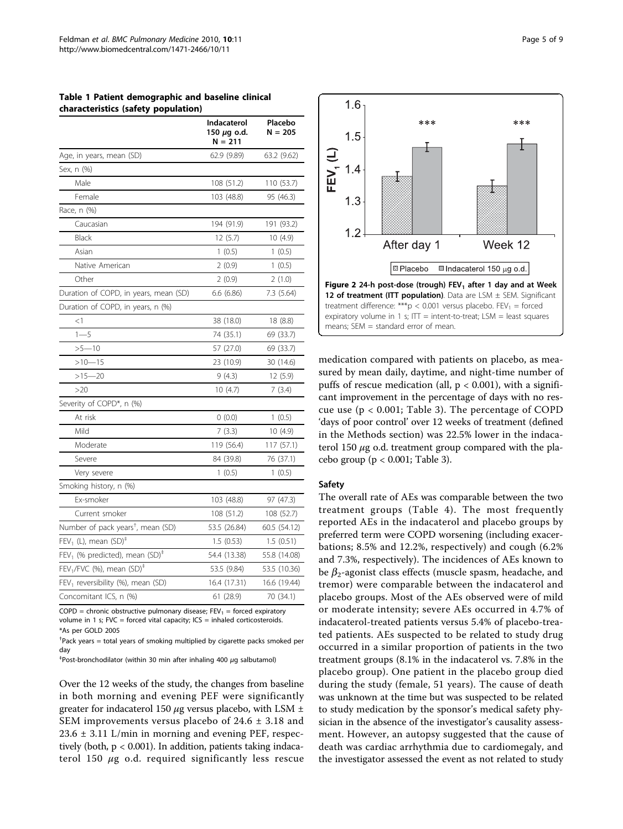<span id="page-4-0"></span>

| Table 1 Patient demographic and baseline clinical |  |
|---------------------------------------------------|--|
| characteristics (safety population)               |  |

| , (partly population)                                  | Indacaterol<br>150 μg o.d.<br>N = 211 | Placebo<br>$N = 205$ |
|--------------------------------------------------------|---------------------------------------|----------------------|
| Age, in years, mean (SD)                               | 62.9 (9.89)                           | 63.2 (9.62)          |
| Sex, n (%)                                             |                                       |                      |
| Male                                                   | 108 (51.2)                            | 110 (53.7)           |
| Female                                                 | 103 (48.8)                            | 95 (46.3)            |
| Race, n (%)                                            |                                       |                      |
| Caucasian                                              | 194 (91.9)                            | 191 (93.2)           |
| Black                                                  | 12(5.7)                               | 10 (4.9)             |
| Asian                                                  | 1(0.5)                                | 1(0.5)               |
| Native American                                        | 2(0.9)                                | 1(0.5)               |
| Other                                                  | 2(0.9)                                | 2(1.0)               |
| Duration of COPD, in years, mean (SD)                  | 6.6(6.86)                             | 7.3 (5.64)           |
| Duration of COPD, in years, n (%)                      |                                       |                      |
| $<$ 1                                                  | 38 (18.0)                             | 18 (8.8)             |
| $1 - 5$                                                | 74 (35.1)                             | 69 (33.7)            |
| $>5 - 10$                                              | 57 (27.0)                             | 69 (33.7)            |
| $>10 - 15$                                             | 23 (10.9)                             | 30 (14.6)            |
| $>15 - 20$                                             | 9(4.3)                                | 12 (5.9)             |
| >20                                                    | 10(4.7)                               | 7(3.4)               |
| Severity of COPD*, n (%)                               |                                       |                      |
| At risk                                                | 0(0.0)                                | 1(0.5)               |
| Mild                                                   | 7(3.3)                                | 10 (4.9)             |
| Moderate                                               | 119 (56.4)                            | 117 (57.1)           |
| Severe                                                 | 84 (39.8)                             | 76 (37.1)            |
| Very severe                                            | 1(0.5)                                | 1(0.5)               |
| Smoking history, n (%)                                 |                                       |                      |
| Ex-smoker                                              | 103 (48.8)                            | 97 (47.3)            |
| Current smoker                                         | 108 (51.2)                            | 108 (52.7)           |
| Number of pack years <sup>†</sup> , mean (SD)          | 53.5 (26.84)                          | 60.5 (54.12)         |
| $FEV1$ (L), mean $(SD)†$                               | 1.5(0.53)                             | 1.5(0.51)            |
| FEV <sub>1</sub> (% predicted), mean $(SD)^{\ddagger}$ | 54.4 (13.38)                          | 55.8 (14.08)         |
| FEV <sub>1</sub> /FVC (%), mean $(SD)^{\ddagger}$      | 53.5 (9.84)                           | 53.5 (10.36)         |
| $FEV1$ reversibility (%), mean (SD)                    | 16.4 (17.31)                          | 16.6 (19.44)         |
| Concomitant ICS, n (%)                                 | 61 (28.9)                             | 70 (34.1)            |

COPD = chronic obstructive pulmonary disease;  $FEV_1 =$  forced expiratory volume in 1 s;  $FVC =$  forced vital capacity;  $ICS =$  inhaled corticosteroids. \*As per GOLD 2005

† Pack years = total years of smoking multiplied by cigarette packs smoked per day

‡ Post-bronchodilator (within 30 min after inhaling 400 μg salbutamol)

Over the 12 weeks of the study, the changes from baseline in both morning and evening PEF were significantly greater for indacaterol 150  $\mu$ g versus placebo, with LSM  $\pm$ SEM improvements versus placebo of 24.6 ± 3.18 and 23.6 ± 3.11 L/min in morning and evening PEF, respectively (both, p < 0.001). In addition, patients taking indacaterol 150  $\mu$ g o.d. required significantly less rescue



medication compared with patients on placebo, as measured by mean daily, daytime, and night-time number of puffs of rescue medication (all,  $p < 0.001$ ), with a significant improvement in the percentage of days with no rescue use ( $p < 0.001$ ; Table [3](#page-5-0)). The percentage of COPD 'days of poor control' over 12 weeks of treatment (defined in the Methods section) was 22.5% lower in the indacaterol 150  $\mu$ g o.d. treatment group compared with the placebo group ( $p < 0.001$ ; Table [3\)](#page-5-0).

#### Safety

 $1.6$ 

The overall rate of AEs was comparable between the two treatment groups (Table [4](#page-6-0)). The most frequently reported AEs in the indacaterol and placebo groups by preferred term were COPD worsening (including exacerbations; 8.5% and 12.2%, respectively) and cough (6.2% and 7.3%, respectively). The incidences of AEs known to be  $\beta_2$ -agonist class effects (muscle spasm, headache, and tremor) were comparable between the indacaterol and placebo groups. Most of the AEs observed were of mild or moderate intensity; severe AEs occurred in 4.7% of indacaterol-treated patients versus 5.4% of placebo-treated patients. AEs suspected to be related to study drug occurred in a similar proportion of patients in the two treatment groups (8.1% in the indacaterol vs. 7.8% in the placebo group). One patient in the placebo group died during the study (female, 51 years). The cause of death was unknown at the time but was suspected to be related to study medication by the sponsor's medical safety physician in the absence of the investigator's causality assessment. However, an autopsy suggested that the cause of death was cardiac arrhythmia due to cardiomegaly, and the investigator assessed the event as not related to study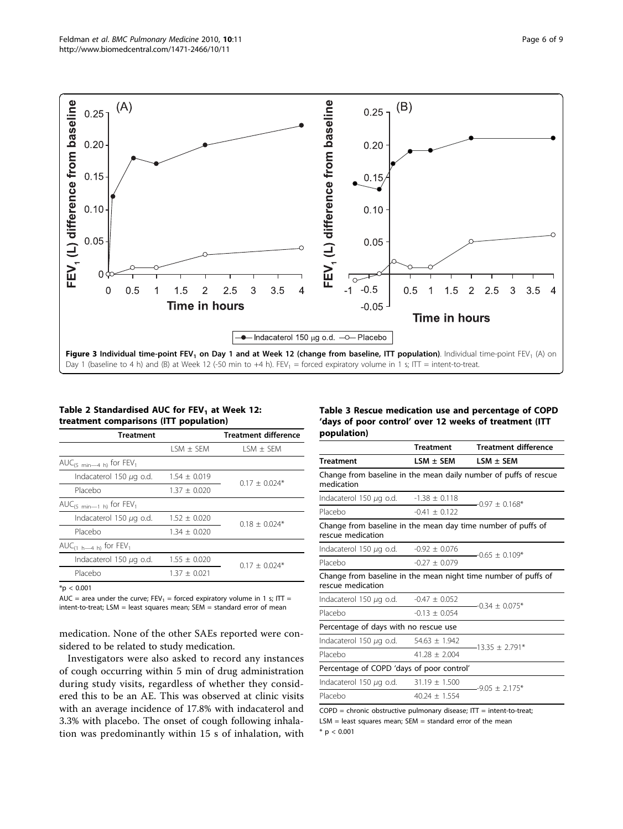<span id="page-5-0"></span>

Table 2 Standardised AUC for  $FEV_1$  at Week 12: treatment comparisons (ITT population)

| Treatment                               | <b>Treatment difference</b> |                 |  |
|-----------------------------------------|-----------------------------|-----------------|--|
|                                         | $LSM \pm SEM$               | $1 SM + SEM$    |  |
| AUC <sub>(5 min -4 h)</sub> for $FEV_1$ |                             |                 |  |
| Indacaterol 150 $\mu$ g o.d.            | $1.54 + 0.019$              | $0.17 + 0.024*$ |  |
| Placebo                                 | $1.37 + 0.020$              |                 |  |
| AUC <sub>(5 min-1 h)</sub> for $FEV_1$  |                             |                 |  |
| Indacaterol 150 $\mu$ g o.d.            | $1.52 + 0.020$              | $0.18 + 0.024*$ |  |
| Placebo                                 | $1.34 \pm 0.020$            |                 |  |
| $AUC_{(1 h-4 h)}$ for $FEV_1$           |                             |                 |  |
| Indacaterol 150 $\mu$ g o.d.            | $1.55 + 0.020$              | $0.17 + 0.024*$ |  |
| Placebo                                 | $1.37 \pm 0.021$            |                 |  |
| $\mathbf{v}$ $\mathbf{a}$ $\mathbf{a}$  |                             |                 |  |

 $*_{p}$  < 0.001

AUC = area under the curve;  $FEV_1 =$  forced expiratory volume in 1 s; ITT = intent-to-treat; LSM = least squares mean; SEM = standard error of mean

medication. None of the other SAEs reported were considered to be related to study medication.

Investigators were also asked to record any instances of cough occurring within 5 min of drug administration during study visits, regardless of whether they considered this to be an AE. This was observed at clinic visits with an average incidence of 17.8% with indacaterol and 3.3% with placebo. The onset of cough following inhalation was predominantly within 15 s of inhalation, with Table 3 Rescue medication use and percentage of COPD 'days of poor control' over 12 weeks of treatment (ITT population)

|                                                                                     | <b>Treatment</b>  | <b>Treatment difference</b>                                      |  |  |
|-------------------------------------------------------------------------------------|-------------------|------------------------------------------------------------------|--|--|
| <b>Treatment</b>                                                                    | $LSM \pm SEM$     | $LSM \pm SEM$                                                    |  |  |
| medication                                                                          |                   | Change from baseline in the mean daily number of puffs of rescue |  |  |
| Indacaterol 150 $\mu$ g o.d.                                                        | $-1.38 + 0.118$   | -097 + 0168*                                                     |  |  |
| Placebo                                                                             | $-0.41 + 0.122$   |                                                                  |  |  |
| Change from baseline in the mean day time number of puffs of<br>rescue medication   |                   |                                                                  |  |  |
| Indacaterol 150 $\mu$ g o.d.                                                        | $-0.92 + 0.076$   | $-0.65 + 0.109*$                                                 |  |  |
| Placebo                                                                             | $-0.27 + 0.079$   |                                                                  |  |  |
| Change from baseline in the mean night time number of puffs of<br>rescue medication |                   |                                                                  |  |  |
| Indacaterol 150 $\mu$ g o.d.                                                        | $-0.47 + 0.052$   | $-0.34 + 0.075*$                                                 |  |  |
| Placebo                                                                             | $-0.13 + 0.054$   |                                                                  |  |  |
| Percentage of days with no rescue use                                               |                   |                                                                  |  |  |
| Indacaterol 150 $\mu$ g o.d.                                                        | $54.63 \pm 1.942$ | $-13.35 + 2.791*$                                                |  |  |
| Placebo                                                                             | $41.28 + 2.004$   |                                                                  |  |  |
| Percentage of COPD 'days of poor control'                                           |                   |                                                                  |  |  |
| Indacaterol 150 $\mu$ g o.d.                                                        | $31.19 \pm 1.500$ | $-9.05 + 2.175*$                                                 |  |  |
| Placebo                                                                             | $40.24 + 1.554$   |                                                                  |  |  |

 $COPD =$  chronic obstructive pulmonary disease;  $IT =$  intent-to-treat;  $LSM =$  least squares mean;  $SEM =$  standard error of the mean  $*$  p < 0.001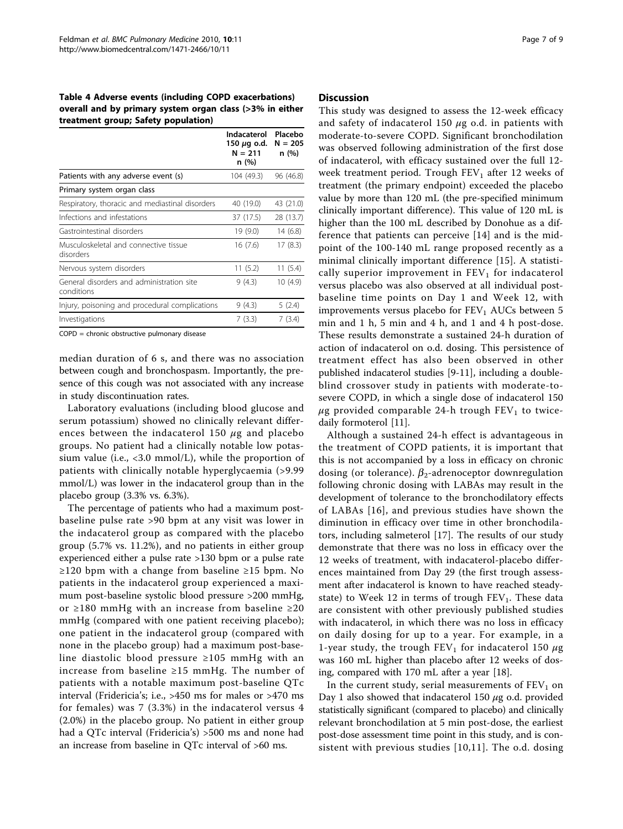<span id="page-6-0"></span>Table 4 Adverse events (including COPD exacerbations) overall and by primary system organ class (>3% in either treatment group; Safety population)

|                                                         | Indacaterol<br>150 μg o.d.<br>$N = 211$<br>n (%) | Placebo<br>$N = 205$<br>n (%) |
|---------------------------------------------------------|--------------------------------------------------|-------------------------------|
| Patients with any adverse event (s)                     | 104 (49.3)                                       | 96 (46.8)                     |
| Primary system organ class                              |                                                  |                               |
| Respiratory, thoracic and mediastinal disorders         | 40 (19.0)                                        | 43 (21.0)                     |
| Infections and infestations                             | 37 (17.5)                                        | 28 (13.7)                     |
| Gastrointestinal disorders                              | 19 (9.0)                                         | 14 (6.8)                      |
| Musculoskeletal and connective tissue<br>disorders      | 16 (7.6)                                         | 17(8.3)                       |
| Nervous system disorders                                | 11 (5.2)                                         | 11 (5.4)                      |
| General disorders and administration site<br>conditions | 9 (4.3)                                          | 10 (4.9)                      |
| Injury, poisoning and procedural complications          | 9 (4.3)                                          | 5(2.4)                        |
| Investigations                                          | 7(3.3)                                           | 7 (3.4)                       |

COPD = chronic obstructive pulmonary disease

median duration of 6 s, and there was no association between cough and bronchospasm. Importantly, the presence of this cough was not associated with any increase in study discontinuation rates.

Laboratory evaluations (including blood glucose and serum potassium) showed no clinically relevant differences between the indacaterol 150  $\mu$ g and placebo groups. No patient had a clinically notable low potassium value (i.e., <3.0 mmol/L), while the proportion of patients with clinically notable hyperglycaemia (>9.99 mmol/L) was lower in the indacaterol group than in the placebo group (3.3% vs. 6.3%).

The percentage of patients who had a maximum postbaseline pulse rate >90 bpm at any visit was lower in the indacaterol group as compared with the placebo group (5.7% vs. 11.2%), and no patients in either group experienced either a pulse rate >130 bpm or a pulse rate ≥120 bpm with a change from baseline ≥15 bpm. No patients in the indacaterol group experienced a maximum post-baseline systolic blood pressure >200 mmHg, or ≥180 mmHg with an increase from baseline ≥20 mmHg (compared with one patient receiving placebo); one patient in the indacaterol group (compared with none in the placebo group) had a maximum post-baseline diastolic blood pressure ≥105 mmHg with an increase from baseline ≥15 mmHg. The number of patients with a notable maximum post-baseline QTc interval (Fridericia's; i.e., >450 ms for males or >470 ms for females) was 7 (3.3%) in the indacaterol versus 4 (2.0%) in the placebo group. No patient in either group had a QTc interval (Fridericia's) >500 ms and none had an increase from baseline in QTc interval of >60 ms.

#### **Discussion**

This study was designed to assess the 12-week efficacy and safety of indacaterol 150  $\mu$ g o.d. in patients with moderate-to-severe COPD. Significant bronchodilation was observed following administration of the first dose of indacaterol, with efficacy sustained over the full 12 week treatment period. Trough  $FEV<sub>1</sub>$  after 12 weeks of treatment (the primary endpoint) exceeded the placebo value by more than 120 mL (the pre-specified minimum clinically important difference). This value of 120 mL is higher than the 100 mL described by Donohue as a difference that patients can perceive [[14\]](#page-8-0) and is the midpoint of the 100-140 mL range proposed recently as a minimal clinically important difference [[15\]](#page-8-0). A statistically superior improvement in  $FEV<sub>1</sub>$  for indacaterol versus placebo was also observed at all individual postbaseline time points on Day 1 and Week 12, with improvements versus placebo for  $FEV<sub>1</sub> AUCs$  between 5 min and 1 h, 5 min and 4 h, and 1 and 4 h post-dose. These results demonstrate a sustained 24-h duration of action of indacaterol on o.d. dosing. This persistence of treatment effect has also been observed in other published indacaterol studies [\[9-11](#page-8-0)], including a doubleblind crossover study in patients with moderate-tosevere COPD, in which a single dose of indacaterol 150  $\mu$ g provided comparable 24-h trough FEV<sub>1</sub> to twicedaily formoterol [\[11\]](#page-8-0).

Although a sustained 24-h effect is advantageous in the treatment of COPD patients, it is important that this is not accompanied by a loss in efficacy on chronic dosing (or tolerance).  $\beta_2$ -adrenoceptor downregulation following chronic dosing with LABAs may result in the development of tolerance to the bronchodilatory effects of LABAs [[16](#page-8-0)], and previous studies have shown the diminution in efficacy over time in other bronchodilators, including salmeterol [\[17](#page-8-0)]. The results of our study demonstrate that there was no loss in efficacy over the 12 weeks of treatment, with indacaterol-placebo differences maintained from Day 29 (the first trough assessment after indacaterol is known to have reached steadystate) to Week 12 in terms of trough  $FEV<sub>1</sub>$ . These data are consistent with other previously published studies with indacaterol, in which there was no loss in efficacy on daily dosing for up to a year. For example, in a 1-year study, the trough FEV<sub>1</sub> for indacaterol 150  $\mu$ g was 160 mL higher than placebo after 12 weeks of dosing, compared with 170 mL after a year [[18](#page-8-0)].

In the current study, serial measurements of  $FEV<sub>1</sub>$  on Day 1 also showed that indacaterol 150  $\mu$ g o.d. provided statistically significant (compared to placebo) and clinically relevant bronchodilation at 5 min post-dose, the earliest post-dose assessment time point in this study, and is consistent with previous studies [\[10,11](#page-8-0)]. The o.d. dosing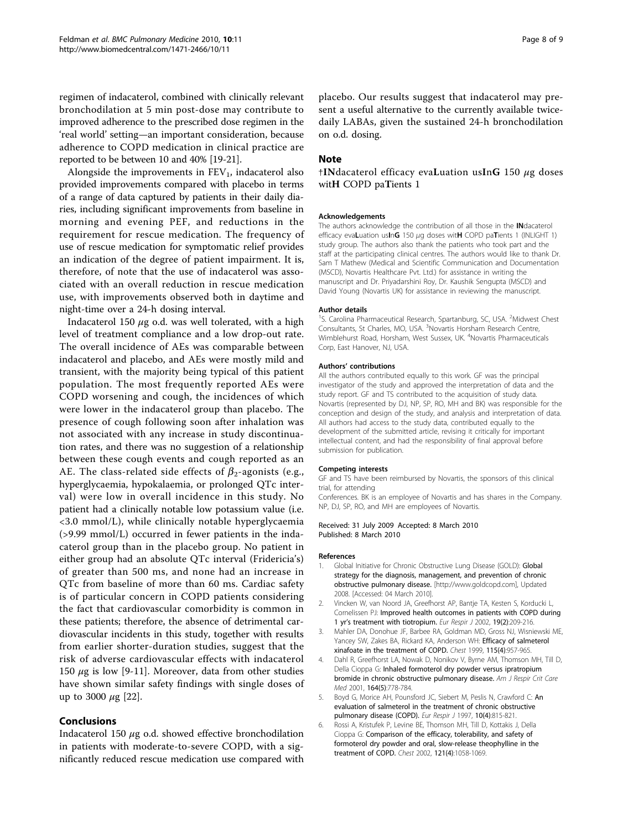<span id="page-7-0"></span>regimen of indacaterol, combined with clinically relevant bronchodilation at 5 min post-dose may contribute to improved adherence to the prescribed dose regimen in the 'real world' setting—an important consideration, because adherence to COPD medication in clinical practice are reported to be between 10 and 40% [\[19](#page-8-0)-[21](#page-8-0)].

Alongside the improvements in  $FEV<sub>1</sub>$ , indacaterol also provided improvements compared with placebo in terms of a range of data captured by patients in their daily diaries, including significant improvements from baseline in morning and evening PEF, and reductions in the requirement for rescue medication. The frequency of use of rescue medication for symptomatic relief provides an indication of the degree of patient impairment. It is, therefore, of note that the use of indacaterol was associated with an overall reduction in rescue medication use, with improvements observed both in daytime and night-time over a 24-h dosing interval.

Indacaterol 150  $\mu$ g o.d. was well tolerated, with a high level of treatment compliance and a low drop-out rate. The overall incidence of AEs was comparable between indacaterol and placebo, and AEs were mostly mild and transient, with the majority being typical of this patient population. The most frequently reported AEs were COPD worsening and cough, the incidences of which were lower in the indacaterol group than placebo. The presence of cough following soon after inhalation was not associated with any increase in study discontinuation rates, and there was no suggestion of a relationship between these cough events and cough reported as an AE. The class-related side effects of  $\beta_2$ -agonists (e.g., hyperglycaemia, hypokalaemia, or prolonged QTc interval) were low in overall incidence in this study. No patient had a clinically notable low potassium value (i.e. <3.0 mmol/L), while clinically notable hyperglycaemia (>9.99 mmol/L) occurred in fewer patients in the indacaterol group than in the placebo group. No patient in either group had an absolute QTc interval (Fridericia's) of greater than 500 ms, and none had an increase in QTc from baseline of more than 60 ms. Cardiac safety is of particular concern in COPD patients considering the fact that cardiovascular comorbidity is common in these patients; therefore, the absence of detrimental cardiovascular incidents in this study, together with results from earlier shorter-duration studies, suggest that the risk of adverse cardiovascular effects with indacaterol 150  $\mu$ g is low [\[9](#page-8-0)-[11\]](#page-8-0). Moreover, data from other studies have shown similar safety findings with single doses of up to 3000  $\mu$ g [\[22\]](#page-8-0).

#### Conclusions

Indacaterol 150  $\mu$ g o.d. showed effective bronchodilation in patients with moderate-to-severe COPD, with a significantly reduced rescue medication use compared with placebo. Our results suggest that indacaterol may present a useful alternative to the currently available twicedaily LABAs, given the sustained 24-h bronchodilation on o.d. dosing.

#### Note

†INdacaterol efficacy evaLuation usInG 150  $\mu$ g doses witH COPD paTients 1

#### Acknowledgements

The authors acknowledge the contribution of all those in the INdacaterol efficacy evaLuation usInG 150 μg doses witH COPD paTients 1 (INLIGHT 1) study group. The authors also thank the patients who took part and the staff at the participating clinical centres. The authors would like to thank Dr. Sam T Mathew (Medical and Scientific Communication and Documentation (MSCD), Novartis Healthcare Pvt. Ltd.) for assistance in writing the manuscript and Dr. Priyadarshini Roy, Dr. Kaushik Sengupta (MSCD) and David Young (Novartis UK) for assistance in reviewing the manuscript.

#### Author details

<sup>1</sup>S. Carolina Pharmaceutical Research, Spartanburg, SC, USA. <sup>2</sup>Midwest Chest Consultants, St Charles, MO, USA. <sup>3</sup>Novartis Horsham Research Centre, Wimblehurst Road, Horsham, West Sussex, UK. <sup>4</sup>Novartis Pharmaceuticals Corp, East Hanover, NJ, USA.

#### Authors' contributions

All the authors contributed equally to this work. GF was the principal investigator of the study and approved the interpretation of data and the study report. GF and TS contributed to the acquisition of study data. Novartis (represented by DJ, NP, SP, RO, MH and BK) was responsible for the conception and design of the study, and analysis and interpretation of data. All authors had access to the study data, contributed equally to the development of the submitted article, revising it critically for important intellectual content, and had the responsibility of final approval before submission for publication.

#### Competing interests

GF and TS have been reimbursed by Novartis, the sponsors of this clinical trial, for attending

Conferences. BK is an employee of Novartis and has shares in the Company. NP, DJ, SP, RO, and MH are employees of Novartis.

#### Received: 31 July 2009 Accepted: 8 March 2010 Published: 8 March 2010

#### References

- Global Initiative for Chronic Obstructive Lung Disease (GOLD): Global strategy for the diagnosis, management, and prevention of chronic obstructive pulmonary disease. [\[http://www.goldcopd.com\]](http://www.goldcopd.com), Updated 2008. [Accessed: 04 March 2010].
- 2. Vincken W, van Noord JA, Greefhorst AP, Bantje TA, Kesten S, Korducki L, Cornelissen PJ: [Improved health outcomes in patients with COPD during](http://www.ncbi.nlm.nih.gov/pubmed/11871363?dopt=Abstract) 1 yr'[s treatment with tiotropium.](http://www.ncbi.nlm.nih.gov/pubmed/11871363?dopt=Abstract) Eur Respir J 2002, 19(2):209-216.
- 3. Mahler DA, Donohue JF, Barbee RA, Goldman MD, Gross NJ, Wisniewski ME, Yancey SW, Zakes BA, Rickard KA, Anderson WH: [Efficacy of salmeterol](http://www.ncbi.nlm.nih.gov/pubmed/10208192?dopt=Abstract) [xinafoate in the treatment of COPD.](http://www.ncbi.nlm.nih.gov/pubmed/10208192?dopt=Abstract) Chest 1999, 115(4):957-965.
- 4. Dahl R, Greefhorst LA, Nowak D, Nonikov V, Byrne AM, Thomson MH, Till D, Della Cioppa G: [Inhaled formoterol dry powder versus ipratropium](http://www.ncbi.nlm.nih.gov/pubmed/11549532?dopt=Abstract) [bromide in chronic obstructive pulmonary disease.](http://www.ncbi.nlm.nih.gov/pubmed/11549532?dopt=Abstract) Am J Respir Crit Care Med 2001, 164(5):778-784.
- 5. Boyd G, Morice AH, Pounsford JC, Siebert M, Peslis N, Crawford C: [An](http://www.ncbi.nlm.nih.gov/pubmed/9150318?dopt=Abstract) [evaluation of salmeterol in the treatment of chronic obstructive](http://www.ncbi.nlm.nih.gov/pubmed/9150318?dopt=Abstract) [pulmonary disease \(COPD\).](http://www.ncbi.nlm.nih.gov/pubmed/9150318?dopt=Abstract) Eur Respir J 1997, 10(4):815-821.
- 6. Rossi A, Kristufek P, Levine BE, Thomson MH, Till D, Kottakis J, Della Cioppa G: [Comparison of the efficacy, tolerability, and safety of](http://www.ncbi.nlm.nih.gov/pubmed/11948033?dopt=Abstract) [formoterol dry powder and oral, slow-release theophylline in the](http://www.ncbi.nlm.nih.gov/pubmed/11948033?dopt=Abstract) [treatment of COPD.](http://www.ncbi.nlm.nih.gov/pubmed/11948033?dopt=Abstract) Chest 2002, 121(4):1058-1069.